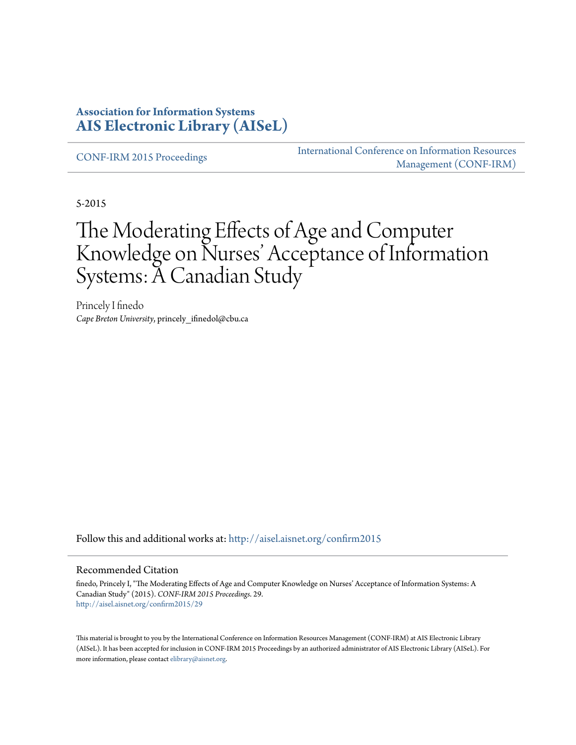#### **Association for Information Systems [AIS Electronic Library \(AISeL\)](http://aisel.aisnet.org?utm_source=aisel.aisnet.org%2Fconfirm2015%2F29&utm_medium=PDF&utm_campaign=PDFCoverPages)**

[CONF-IRM 2015 Proceedings](http://aisel.aisnet.org/confirm2015?utm_source=aisel.aisnet.org%2Fconfirm2015%2F29&utm_medium=PDF&utm_campaign=PDFCoverPages)

[International Conference on Information Resources](http://aisel.aisnet.org/conf-irm?utm_source=aisel.aisnet.org%2Fconfirm2015%2F29&utm_medium=PDF&utm_campaign=PDFCoverPages) [Management \(CONF-IRM\)](http://aisel.aisnet.org/conf-irm?utm_source=aisel.aisnet.org%2Fconfirm2015%2F29&utm_medium=PDF&utm_campaign=PDFCoverPages)

5-2015

# The Moderating Effects of Age and Computer Knowledge on Nurses' Acceptance of Information Systems: A Canadian Study

Princely I finedo *Cape Breton University*, princely\_ifinedol@cbu.ca

Follow this and additional works at: [http://aisel.aisnet.org/confirm2015](http://aisel.aisnet.org/confirm2015?utm_source=aisel.aisnet.org%2Fconfirm2015%2F29&utm_medium=PDF&utm_campaign=PDFCoverPages)

#### Recommended Citation

finedo, Princely I, "The Moderating Effects of Age and Computer Knowledge on Nurses' Acceptance of Information Systems: A Canadian Study" (2015). *CONF-IRM 2015 Proceedings*. 29. [http://aisel.aisnet.org/confirm2015/29](http://aisel.aisnet.org/confirm2015/29?utm_source=aisel.aisnet.org%2Fconfirm2015%2F29&utm_medium=PDF&utm_campaign=PDFCoverPages)

This material is brought to you by the International Conference on Information Resources Management (CONF-IRM) at AIS Electronic Library (AISeL). It has been accepted for inclusion in CONF-IRM 2015 Proceedings by an authorized administrator of AIS Electronic Library (AISeL). For more information, please contact [elibrary@aisnet.org.](mailto:elibrary@aisnet.org%3E)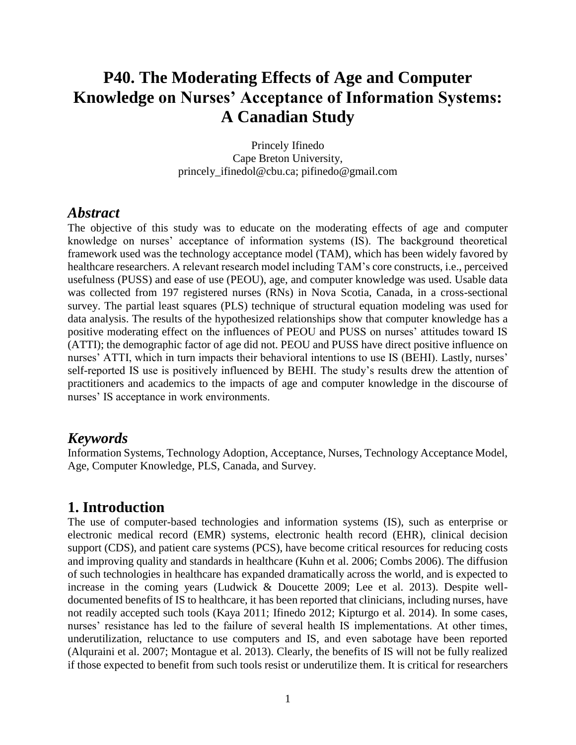# **P40. The Moderating Effects of Age and Computer Knowledge on Nurses' Acceptance of Information Systems: A Canadian Study**

Princely Ifinedo Cape Breton University, princely\_ifinedol@cbu.ca; pifinedo@gmail.com

#### *Abstract*

The objective of this study was to educate on the moderating effects of age and computer knowledge on nurses' acceptance of information systems (IS). The background theoretical framework used was the technology acceptance model (TAM), which has been widely favored by healthcare researchers. A relevant research model including TAM's core constructs, i.e., perceived usefulness (PUSS) and ease of use (PEOU), age, and computer knowledge was used. Usable data was collected from 197 registered nurses (RNs) in Nova Scotia, Canada, in a cross-sectional survey. The partial least squares (PLS) technique of structural equation modeling was used for data analysis. The results of the hypothesized relationships show that computer knowledge has a positive moderating effect on the influences of PEOU and PUSS on nurses' attitudes toward IS (ATTI); the demographic factor of age did not. PEOU and PUSS have direct positive influence on nurses' ATTI, which in turn impacts their behavioral intentions to use IS (BEHI). Lastly, nurses' self-reported IS use is positively influenced by BEHI. The study's results drew the attention of practitioners and academics to the impacts of age and computer knowledge in the discourse of nurses' IS acceptance in work environments.

## *Keywords*

Information Systems, Technology Adoption, Acceptance, Nurses, Technology Acceptance Model, Age, Computer Knowledge, PLS, Canada, and Survey.

## **1. Introduction**

The use of computer-based technologies and information systems (IS), such as enterprise or electronic medical record (EMR) systems, electronic health record (EHR), clinical decision support (CDS), and patient care systems (PCS), have become critical resources for reducing costs and improving quality and standards in healthcare (Kuhn et al. 2006; Combs 2006). The diffusion of such technologies in healthcare has expanded dramatically across the world, and is expected to increase in the coming years (Ludwick & Doucette 2009; Lee et al. 2013). Despite welldocumented benefits of IS to healthcare, it has been reported that clinicians, including nurses, have not readily accepted such tools (Kaya 2011; Ifinedo 2012; Kipturgo et al. 2014). In some cases, nurses' resistance has led to the failure of several health IS implementations. At other times, underutilization, reluctance to use computers and IS, and even sabotage have been reported (Alquraini et al. 2007; Montague et al. 2013). Clearly, the benefits of IS will not be fully realized if those expected to benefit from such tools resist or underutilize them. It is critical for researchers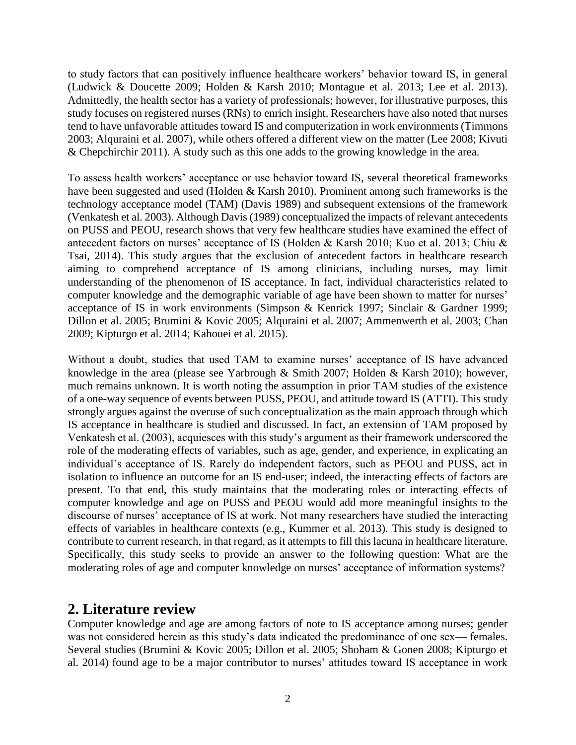to study factors that can positively influence healthcare workers' behavior toward IS, in general (Ludwick & Doucette 2009; Holden & Karsh 2010; Montague et al. 2013; Lee et al. 2013). Admittedly, the health sector has a variety of professionals; however, for illustrative purposes, this study focuses on registered nurses (RNs) to enrich insight. Researchers have also noted that nurses tend to have unfavorable attitudes toward IS and computerization in work environments (Timmons 2003; Alquraini et al. 2007), while others offered a different view on the matter (Lee 2008; Kivuti & Chepchirchir 2011). A study such as this one adds to the growing knowledge in the area.

To assess health workers' acceptance or use behavior toward IS, several theoretical frameworks have been suggested and used (Holden & Karsh 2010). Prominent among such frameworks is the technology acceptance model (TAM) (Davis 1989) and subsequent extensions of the framework (Venkatesh et al. 2003). Although Davis (1989) conceptualized the impacts of relevant antecedents on PUSS and PEOU, research shows that very few healthcare studies have examined the effect of antecedent factors on nurses' acceptance of IS (Holden & Karsh 2010; Kuo et al. 2013; Chiu & Tsai, 2014). This study argues that the exclusion of antecedent factors in healthcare research aiming to comprehend acceptance of IS among clinicians, including nurses, may limit understanding of the phenomenon of IS acceptance. In fact, individual characteristics related to computer knowledge and the demographic variable of age have been shown to matter for nurses' acceptance of IS in work environments (Simpson & Kenrick 1997; Sinclair & Gardner 1999; Dillon et al. 2005; Brumini & Kovic 2005; Alquraini et al. 2007; Ammenwerth et al. 2003; Chan 2009; Kipturgo et al. 2014; Kahouei et al. 2015).

Without a doubt, studies that used TAM to examine nurses' acceptance of IS have advanced knowledge in the area (please see Yarbrough & Smith 2007; Holden & Karsh 2010); however, much remains unknown. It is worth noting the assumption in prior TAM studies of the existence of a one-way sequence of events between PUSS, PEOU, and attitude toward IS (ATTI). This study strongly argues against the overuse of such conceptualization as the main approach through which IS acceptance in healthcare is studied and discussed. In fact, an extension of TAM proposed by Venkatesh et al. (2003), acquiesces with this study's argument as their framework underscored the role of the moderating effects of variables, such as age, gender, and experience, in explicating an individual's acceptance of IS. Rarely do independent factors, such as PEOU and PUSS, act in isolation to influence an outcome for an IS end-user; indeed, the interacting effects of factors are present. To that end, this study maintains that the moderating roles or interacting effects of computer knowledge and age on PUSS and PEOU would add more meaningful insights to the discourse of nurses' acceptance of IS at work. Not many researchers have studied the interacting effects of variables in healthcare contexts (e.g., Kummer et al. 2013). This study is designed to contribute to current research, in that regard, as it attempts to fill this lacuna in healthcare literature. Specifically, this study seeks to provide an answer to the following question: What are the moderating roles of age and computer knowledge on nurses' acceptance of information systems?

## **2. Literature review**

Computer knowledge and age are among factors of note to IS acceptance among nurses; gender was not considered herein as this study's data indicated the predominance of one sex— females. Several studies (Brumini & Kovic 2005; Dillon et al. 2005; Shoham & Gonen 2008; Kipturgo et al. 2014) found age to be a major contributor to nurses' attitudes toward IS acceptance in work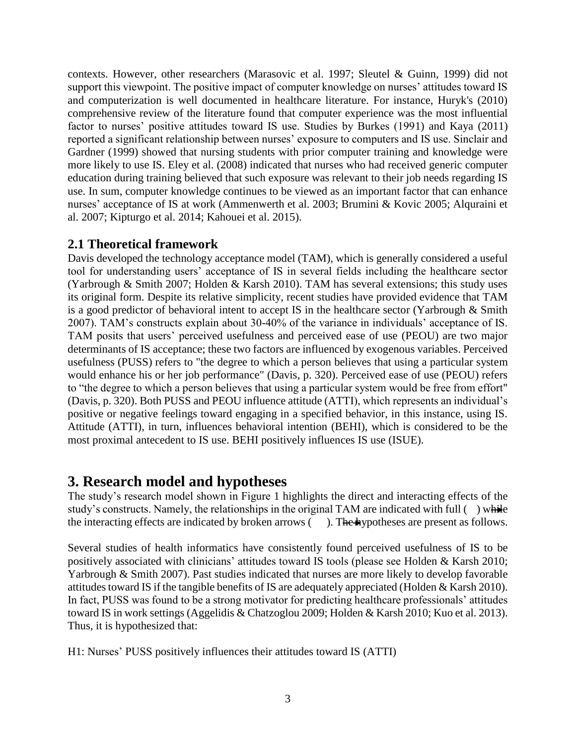contexts. However, other researchers (Marasovic et al. 1997; Sleutel & Guinn, 1999) did not support this viewpoint. The positive impact of computer knowledge on nurses' attitudes toward IS and computerization is well documented in healthcare literature. For instance, Huryk's (2010) comprehensive review of the literature found that computer experience was the most influential factor to nurses' positive attitudes toward IS use. Studies by Burkes (1991) and Kaya (2011) reported a significant relationship between nurses' exposure to computers and IS use. Sinclair and Gardner (1999) showed that nursing students with prior computer training and knowledge were more likely to use IS. Eley et al. (2008) indicated that nurses who had received generic computer education during training believed that such exposure was relevant to their job needs regarding IS use. In sum, computer knowledge continues to be viewed as an important factor that can enhance nurses' acceptance of IS at work (Ammenwerth et al. 2003; Brumini & Kovic 2005; Alquraini et al. 2007; Kipturgo et al. 2014; Kahouei et al. 2015).

#### **2.1 Theoretical framework**

Davis developed the technology acceptance model (TAM), which is generally considered a useful tool for understanding users' acceptance of IS in several fields including the healthcare sector (Yarbrough & Smith 2007; Holden & Karsh 2010). TAM has several extensions; this study uses its original form. Despite its relative simplicity, recent studies have provided evidence that TAM is a good predictor of behavioral intent to accept IS in the healthcare sector (Yarbrough & Smith 2007). TAM's constructs explain about 30-40% of the variance in individuals' acceptance of IS. TAM posits that users' perceived usefulness and perceived ease of use (PEOU) are two major determinants of IS acceptance; these two factors are influenced by exogenous variables. Perceived usefulness (PUSS) refers to "the degree to which a person believes that using a particular system would enhance his or her job performance" (Davis, p. 320). Perceived ease of use (PEOU) refers to "the degree to which a person believes that using a particular system would be free from effort" (Davis, p. 320). Both PUSS and PEOU influence attitude (ATTI), which represents an individual's positive or negative feelings toward engaging in a specified behavior, in this instance, using IS. Attitude (ATTI), in turn, influences behavioral intention (BEHI), which is considered to be the most proximal antecedent to IS use. BEHI positively influences IS use (ISUE).

## **3. Research model and hypotheses**

The study's research model shown in Figure 1 highlights the direct and interacting effects of the study's constructs. Namely, the relationships in the original TAM are indicated with full  $($ ) while the interacting effects are indicated by broken arrows  $($ ). The hypotheses are present as follows.

Several studies of health informatics have consistently found perceived usefulness of IS to be positively associated with clinicians' attitudes toward IS tools (please see Holden & Karsh 2010; Yarbrough & Smith 2007). Past studies indicated that nurses are more likely to develop favorable attitudes toward IS if the tangible benefits of IS are adequately appreciated (Holden & Karsh 2010). In fact, PUSS was found to be a strong motivator for predicting healthcare professionals' attitudes toward IS in work settings (Aggelidis & Chatzoglou 2009; Holden & Karsh 2010; Kuo et al. 2013). Thus, it is hypothesized that:

H1: Nurses' PUSS positively influences their attitudes toward IS (ATTI)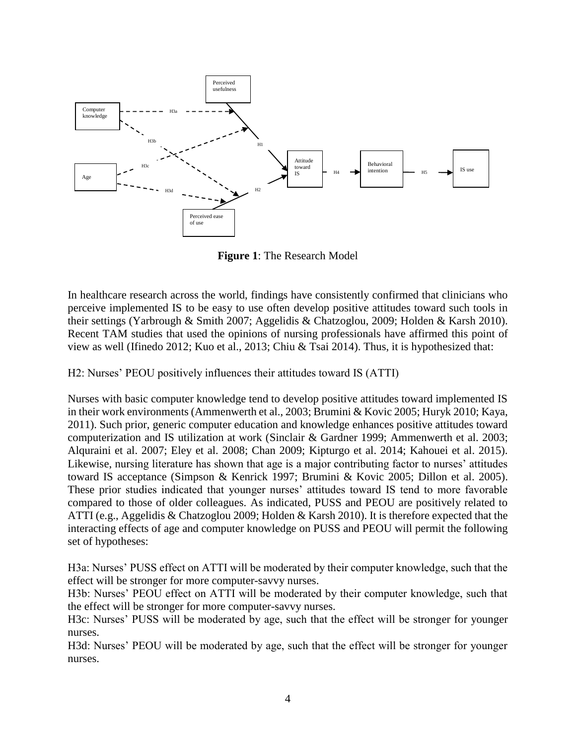

**Figure 1**: The Research Model

In healthcare research across the world, findings have consistently confirmed that clinicians who perceive implemented IS to be easy to use often develop positive attitudes toward such tools in their settings (Yarbrough & Smith 2007; Aggelidis & Chatzoglou, 2009; Holden & Karsh 2010). Recent TAM studies that used the opinions of nursing professionals have affirmed this point of view as well (Ifinedo 2012; Kuo et al., 2013; Chiu & Tsai 2014). Thus, it is hypothesized that:

H2: Nurses' PEOU positively influences their attitudes toward IS (ATTI)

Nurses with basic computer knowledge tend to develop positive attitudes toward implemented IS in their work environments (Ammenwerth et al., 2003; Brumini & Kovic 2005; Huryk 2010; Kaya, 2011). Such prior, generic computer education and knowledge enhances positive attitudes toward computerization and IS utilization at work (Sinclair & Gardner 1999; Ammenwerth et al. 2003; Alquraini et al. 2007; Eley et al. 2008; Chan 2009; Kipturgo et al. 2014; Kahouei et al. 2015). Likewise, nursing literature has shown that age is a major contributing factor to nurses' attitudes toward IS acceptance (Simpson & Kenrick 1997; Brumini & Kovic 2005; Dillon et al. 2005). These prior studies indicated that younger nurses' attitudes toward IS tend to more favorable compared to those of older colleagues. As indicated, PUSS and PEOU are positively related to ATTI (e.g., Aggelidis & Chatzoglou 2009; Holden & Karsh 2010). It is therefore expected that the interacting effects of age and computer knowledge on PUSS and PEOU will permit the following set of hypotheses:

H3a: Nurses' PUSS effect on ATTI will be moderated by their computer knowledge, such that the effect will be stronger for more computer-savvy nurses.

H3b: Nurses' PEOU effect on ATTI will be moderated by their computer knowledge, such that the effect will be stronger for more computer-savvy nurses.

H3c: Nurses' PUSS will be moderated by age, such that the effect will be stronger for younger nurses.

H3d: Nurses' PEOU will be moderated by age, such that the effect will be stronger for younger nurses.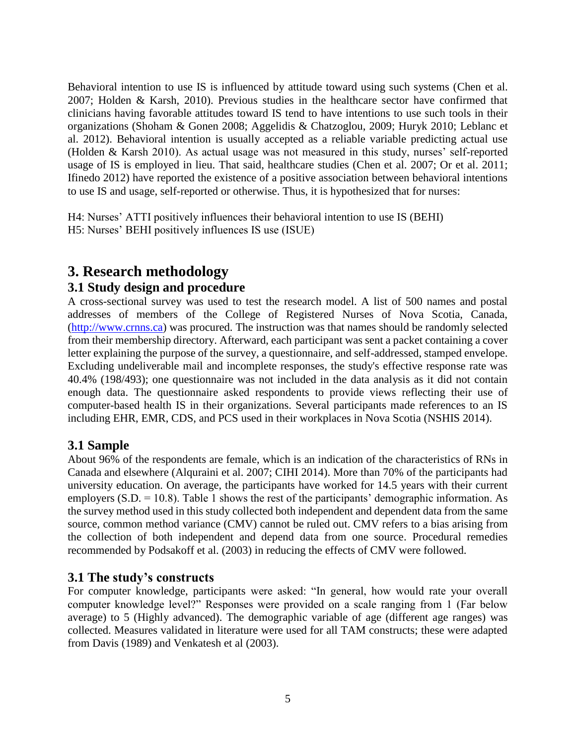Behavioral intention to use IS is influenced by attitude toward using such systems (Chen et al. 2007; Holden & Karsh, 2010). Previous studies in the healthcare sector have confirmed that clinicians having favorable attitudes toward IS tend to have intentions to use such tools in their organizations (Shoham & Gonen 2008; Aggelidis & Chatzoglou, 2009; Huryk 2010; Leblanc et al. 2012). Behavioral intention is usually accepted as a reliable variable predicting actual use (Holden & Karsh 2010). As actual usage was not measured in this study, nurses' self-reported usage of IS is employed in lieu. That said, healthcare studies (Chen et al. 2007; Or et al. 2011; Ifinedo 2012) have reported the existence of a positive association between behavioral intentions to use IS and usage, self-reported or otherwise. Thus, it is hypothesized that for nurses:

H4: Nurses' ATTI positively influences their behavioral intention to use IS (BEHI) H5: Nurses' BEHI positively influences IS use (ISUE)

## **3. Research methodology**

#### **3.1 Study design and procedure**

A cross-sectional survey was used to test the research model. A list of 500 names and postal addresses of members of the College of Registered Nurses of Nova Scotia, Canada, [\(http://www.crnns.ca\)](http://www.crnns.ca/) was procured. The instruction was that names should be randomly selected from their membership directory. Afterward, each participant was sent a packet containing a cover letter explaining the purpose of the survey, a questionnaire, and self-addressed, stamped envelope. Excluding undeliverable mail and incomplete responses, the study's effective response rate was 40.4% (198/493); one questionnaire was not included in the data analysis as it did not contain enough data. The questionnaire asked respondents to provide views reflecting their use of computer-based health IS in their organizations. Several participants made references to an IS including EHR, EMR, CDS, and PCS used in their workplaces in Nova Scotia (NSHIS 2014).

#### **3.1 Sample**

About 96% of the respondents are female, which is an indication of the characteristics of RNs in Canada and elsewhere (Alquraini et al. 2007; CIHI 2014). More than 70% of the participants had university education. On average, the participants have worked for 14.5 years with their current employers (S.D. = 10.8). Table 1 shows the rest of the participants' demographic information. As the survey method used in this study collected both independent and dependent data from the same source, common method variance (CMV) cannot be ruled out. CMV refers to a bias arising from the collection of both independent and depend data from one source. Procedural remedies recommended by Podsakoff et al. (2003) in reducing the effects of CMV were followed.

#### **3.1 The study's constructs**

For computer knowledge, participants were asked: "In general, how would rate your overall computer knowledge level?" Responses were provided on a scale ranging from 1 (Far below average) to 5 (Highly advanced). The demographic variable of age (different age ranges) was collected. Measures validated in literature were used for all TAM constructs; these were adapted from Davis (1989) and Venkatesh et al (2003).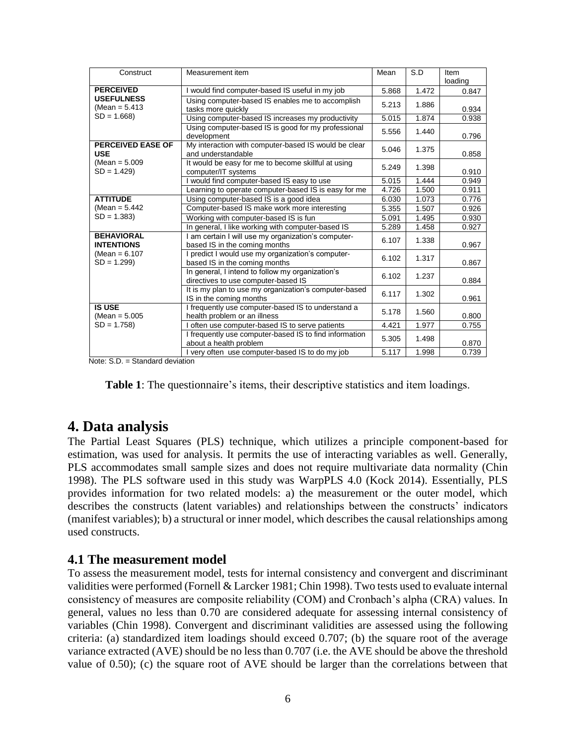| Construct                              | Measurement item                                                                        | Mean  | S.D   | Item    |
|----------------------------------------|-----------------------------------------------------------------------------------------|-------|-------|---------|
|                                        |                                                                                         |       |       | loading |
| <b>PERCEIVED</b>                       | I would find computer-based IS useful in my job                                         | 5.868 | 1.472 | 0.847   |
| <b>USEFULNESS</b><br>$(Mean = 5.413)$  | Using computer-based IS enables me to accomplish<br>tasks more quickly                  | 5.213 | 1.886 | 0.934   |
| $SD = 1.668$                           | Using computer-based IS increases my productivity                                       | 5.015 | 1.874 | 0.938   |
|                                        | Using computer-based IS is good for my professional<br>development                      | 5.556 | 1.440 | 0.796   |
| <b>PERCEIVED EASE OF</b><br><b>USE</b> | My interaction with computer-based IS would be clear<br>and understandable              | 5.046 | 1.375 | 0.858   |
| $(Mean = 5.009)$<br>$SD = 1.429$       | It would be easy for me to become skillful at using<br>computer/IT systems              | 5.249 | 1.398 | 0.910   |
|                                        | I would find computer-based IS easy to use                                              | 5.015 | 1.444 | 0.949   |
|                                        | Learning to operate computer-based IS is easy for me                                    | 4.726 | 1.500 | 0.911   |
| <b>ATTITUDE</b>                        | Using computer-based IS is a good idea                                                  | 6.030 | 1.073 | 0.776   |
| (Mean = $5.442$ )                      | Computer-based IS make work more interesting                                            | 5.355 | 1.507 | 0.926   |
| $SD = 1.383$                           | Working with computer-based IS is fun                                                   | 5.091 | 1.495 | 0.930   |
|                                        | In general, I like working with computer-based IS                                       | 5.289 | 1.458 | 0.927   |
| <b>BEHAVIORAL</b><br><b>INTENTIONS</b> | I am certain I will use my organization's computer-<br>based IS in the coming months    | 6.107 | 1.338 | 0.967   |
| $(Mean = 6.107)$<br>$SD = 1.299$       | I predict I would use my organization's computer-<br>based IS in the coming months      | 6.102 | 1.317 | 0.867   |
|                                        | In general, I intend to follow my organization's<br>directives to use computer-based IS | 6.102 | 1.237 | 0.884   |
|                                        | It is my plan to use my organization's computer-based<br>IS in the coming months        | 6.117 | 1.302 | 0.961   |
| <b>IS USE</b><br>$(Mean = 5.005)$      | I frequently use computer-based IS to understand a<br>health problem or an illness      | 5.178 | 1.560 | 0.800   |
| $SD = 1.758$                           | I often use computer-based IS to serve patients                                         | 4.421 | 1.977 | 0.755   |
|                                        | I frequently use computer-based IS to find information<br>about a health problem        | 5.305 | 1.498 | 0.870   |
| $\sim$ $\sim$                          | I very often use computer-based IS to do my job                                         | 5.117 | 1.998 | 0.739   |

Note: S.D. = Standard deviation

| <b>Table 1:</b> The questionnaire's items, their descriptive statistics and item loadings. |  |  |  |
|--------------------------------------------------------------------------------------------|--|--|--|
|--------------------------------------------------------------------------------------------|--|--|--|

#### **4. Data analysis**

The Partial Least Squares (PLS) technique, which utilizes a principle component-based for estimation, was used for analysis. It permits the use of interacting variables as well. Generally, PLS accommodates small sample sizes and does not require multivariate data normality (Chin 1998). The PLS software used in this study was WarpPLS 4.0 (Kock 2014). Essentially, PLS provides information for two related models: a) the measurement or the outer model, which describes the constructs (latent variables) and relationships between the constructs' indicators (manifest variables); b) a structural or inner model, which describes the causal relationships among used constructs.

#### **4.1 The measurement model**

To assess the measurement model, tests for internal consistency and convergent and discriminant validities were performed (Fornell & Larcker 1981; Chin 1998). Two tests used to evaluate internal consistency of measures are composite reliability (COM) and Cronbach's alpha (CRA) values. In general, values no less than 0.70 are considered adequate for assessing internal consistency of variables (Chin 1998). Convergent and discriminant validities are assessed using the following criteria: (a) standardized item loadings should exceed 0.707; (b) the square root of the average variance extracted (AVE) should be no less than 0.707 (i.e. the AVE should be above the threshold value of 0.50); (c) the square root of AVE should be larger than the correlations between that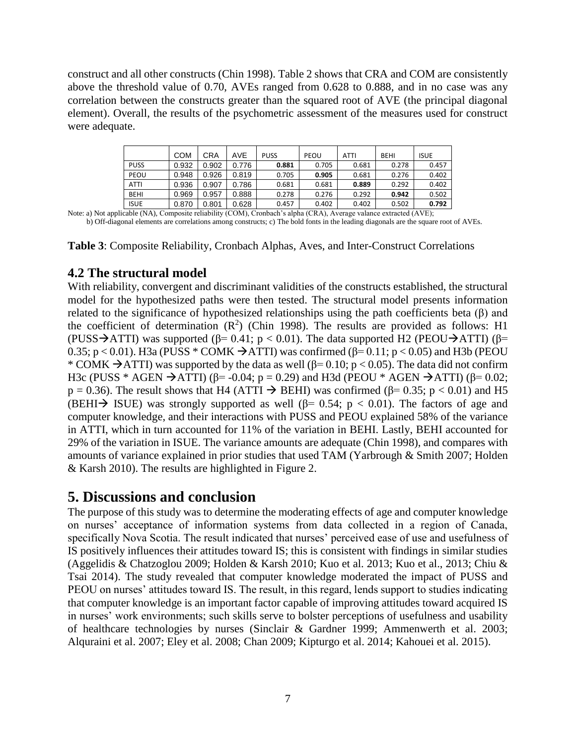construct and all other constructs (Chin 1998). Table 2 shows that CRA and COM are consistently above the threshold value of 0.70, AVEs ranged from 0.628 to 0.888, and in no case was any correlation between the constructs greater than the squared root of AVE (the principal diagonal element). Overall, the results of the psychometric assessment of the measures used for construct were adequate.

|             | <b>COM</b> | CRA   | AVE   | <b>PUSS</b> | PEOU  | ATTI  | <b>BEHI</b> | <b>ISUE</b> |
|-------------|------------|-------|-------|-------------|-------|-------|-------------|-------------|
| <b>PUSS</b> | 0.932      | 0.902 | 0.776 | 0.881       | 0.705 | 0.681 | 0.278       | 0.457       |
| PEOU        | 0.948      | 0.926 | 0.819 | 0.705       | 0.905 | 0.681 | 0.276       | 0.402       |
| <b>ATTI</b> | 0.936      | 0.907 | 0.786 | 0.681       | 0.681 | 0.889 | 0.292       | 0.402       |
| <b>BEHI</b> | 0.969      | 0.957 | 0.888 | 0.278       | 0.276 | 0.292 | 0.942       | 0.502       |
| <b>ISUE</b> | 0.870      | 0.801 | 0.628 | 0.457       | 0.402 | 0.402 | 0.502       | 0.792       |

Note: a) Not applicable (NA), Composite reliability (COM), Cronbach's alpha (CRA), Average valance extracted (AVE); b) Off-diagonal elements are correlations among constructs; c) The bold fonts in the leading diagonals are the square root of AVEs.

**Table 3**: Composite Reliability, Cronbach Alphas, Aves, and Inter-Construct Correlations

#### **4.2 The structural model**

With reliability, convergent and discriminant validities of the constructs established, the structural model for the hypothesized paths were then tested. The structural model presents information related to the significance of hypothesized relationships using the path coefficients beta (β) and the coefficient of determination  $(R^2)$  (Chin 1998). The results are provided as follows: H1 (PUSS  $\rightarrow$  ATTI) was supported (β= 0.41; p < 0.01). The data supported H2 (PEOU $\rightarrow$  ATTI) (β= 0.35;  $p < 0.01$ ). H3a (PUSS \* COMK  $\rightarrow$  ATTI) was confirmed ( $\beta$ = 0.11;  $p < 0.05$ ) and H3b (PEOU \* COMK  $\rightarrow$  ATTI) was supported by the data as well ( $\beta$ = 0.10; p < 0.05). The data did not confirm H3c (PUSS \* AGEN  $\rightarrow$  ATTI) (β= -0.04; p = 0.29) and H3d (PEOU \* AGEN  $\rightarrow$  ATTI) (β= 0.02;  $p = 0.36$ ). The result shows that H4 (ATTI  $\rightarrow$  BEHI) was confirmed ( $\beta$ = 0.35; p < 0.01) and H5 (BEHI  $\rightarrow$  ISUE) was strongly supported as well ( $\beta$ = 0.54; p < 0.01). The factors of age and computer knowledge, and their interactions with PUSS and PEOU explained 58% of the variance in ATTI, which in turn accounted for 11% of the variation in BEHI. Lastly, BEHI accounted for 29% of the variation in ISUE. The variance amounts are adequate (Chin 1998), and compares with amounts of variance explained in prior studies that used TAM (Yarbrough & Smith 2007; Holden & Karsh 2010). The results are highlighted in Figure 2.

## **5. Discussions and conclusion**

The purpose of this study was to determine the moderating effects of age and computer knowledge on nurses' acceptance of information systems from data collected in a region of Canada, specifically Nova Scotia. The result indicated that nurses' perceived ease of use and usefulness of IS positively influences their attitudes toward IS; this is consistent with findings in similar studies (Aggelidis & Chatzoglou 2009; Holden & Karsh 2010; Kuo et al. 2013; Kuo et al., 2013; Chiu & Tsai 2014). The study revealed that computer knowledge moderated the impact of PUSS and PEOU on nurses' attitudes toward IS. The result, in this regard, lends support to studies indicating that computer knowledge is an important factor capable of improving attitudes toward acquired IS in nurses' work environments; such skills serve to bolster perceptions of usefulness and usability of healthcare technologies by nurses (Sinclair & Gardner 1999; Ammenwerth et al. 2003; Alquraini et al. 2007; Eley et al. 2008; Chan 2009; Kipturgo et al. 2014; Kahouei et al. 2015).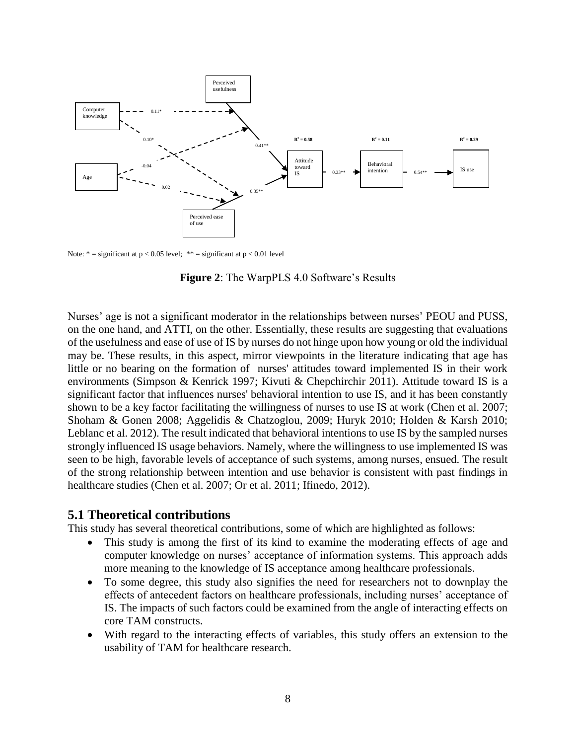

Note:  $* =$  significant at  $p < 0.05$  level;  $** =$  significant at  $p < 0.01$  level

**Figure 2**: The WarpPLS 4.0 Software's Results

Nurses' age is not a significant moderator in the relationships between nurses' PEOU and PUSS, on the one hand, and ATTI, on the other. Essentially, these results are suggesting that evaluations of the usefulness and ease of use of IS by nurses do not hinge upon how young or old the individual may be. These results, in this aspect, mirror viewpoints in the literature indicating that age has little or no bearing on the formation of nurses' attitudes toward implemented IS in their work environments (Simpson & Kenrick 1997; Kivuti & Chepchirchir 2011). Attitude toward IS is a significant factor that influences nurses' behavioral intention to use IS, and it has been constantly shown to be a key factor facilitating the willingness of nurses to use IS at work (Chen et al. 2007; Shoham & Gonen 2008; Aggelidis & Chatzoglou, 2009; Huryk 2010; Holden & Karsh 2010; Leblanc et al. 2012). The result indicated that behavioral intentions to use IS by the sampled nurses strongly influenced IS usage behaviors. Namely, where the willingness to use implemented IS was seen to be high, favorable levels of acceptance of such systems, among nurses, ensued. The result of the strong relationship between intention and use behavior is consistent with past findings in healthcare studies (Chen et al. 2007; Or et al. 2011; Ifinedo, 2012).

#### **5.1 Theoretical contributions**

This study has several theoretical contributions, some of which are highlighted as follows:

- This study is among the first of its kind to examine the moderating effects of age and computer knowledge on nurses' acceptance of information systems. This approach adds more meaning to the knowledge of IS acceptance among healthcare professionals.
- To some degree, this study also signifies the need for researchers not to downplay the effects of antecedent factors on healthcare professionals, including nurses' acceptance of IS. The impacts of such factors could be examined from the angle of interacting effects on core TAM constructs.
- With regard to the interacting effects of variables, this study offers an extension to the usability of TAM for healthcare research.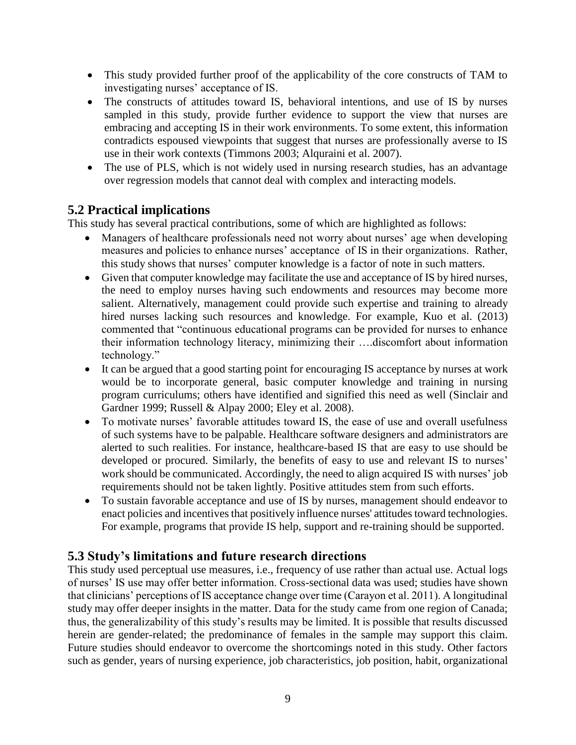- This study provided further proof of the applicability of the core constructs of TAM to investigating nurses' acceptance of IS.
- The constructs of attitudes toward IS, behavioral intentions, and use of IS by nurses sampled in this study, provide further evidence to support the view that nurses are embracing and accepting IS in their work environments. To some extent, this information contradicts espoused viewpoints that suggest that nurses are professionally averse to IS use in their work contexts (Timmons 2003; Alquraini et al. 2007).
- The use of PLS, which is not widely used in nursing research studies, has an advantage over regression models that cannot deal with complex and interacting models.

#### **5.2 Practical implications**

This study has several practical contributions, some of which are highlighted as follows:

- Managers of healthcare professionals need not worry about nurses' age when developing measures and policies to enhance nurses' acceptance of IS in their organizations. Rather, this study shows that nurses' computer knowledge is a factor of note in such matters.
- Given that computer knowledge may facilitate the use and acceptance of IS by hired nurses, the need to employ nurses having such endowments and resources may become more salient. Alternatively, management could provide such expertise and training to already hired nurses lacking such resources and knowledge. For example, Kuo et al. (2013) commented that "continuous educational programs can be provided for nurses to enhance their information technology literacy, minimizing their ….discomfort about information technology."
- It can be argued that a good starting point for encouraging IS acceptance by nurses at work would be to incorporate general, basic computer knowledge and training in nursing program curriculums; others have identified and signified this need as well (Sinclair and Gardner 1999; Russell & Alpay 2000; Eley et al. 2008).
- To motivate nurses' favorable attitudes toward IS, the ease of use and overall usefulness of such systems have to be palpable. Healthcare software designers and administrators are alerted to such realities. For instance, healthcare-based IS that are easy to use should be developed or procured. Similarly, the benefits of easy to use and relevant IS to nurses' work should be communicated. Accordingly, the need to align acquired IS with nurses' job requirements should not be taken lightly. Positive attitudes stem from such efforts.
- To sustain favorable acceptance and use of IS by nurses, management should endeavor to enact policies and incentives that positively influence nurses' attitudes toward technologies. For example, programs that provide IS help, support and re-training should be supported.

#### **5.3 Study's limitations and future research directions**

This study used perceptual use measures, i.e., frequency of use rather than actual use. Actual logs of nurses' IS use may offer better information. Cross-sectional data was used; studies have shown that clinicians' perceptions of IS acceptance change over time (Carayon et al. 2011). A longitudinal study may offer deeper insights in the matter. Data for the study came from one region of Canada; thus, the generalizability of this study's results may be limited. It is possible that results discussed herein are gender-related; the predominance of females in the sample may support this claim. Future studies should endeavor to overcome the shortcomings noted in this study. Other factors such as gender, years of nursing experience, job characteristics, job position, habit, organizational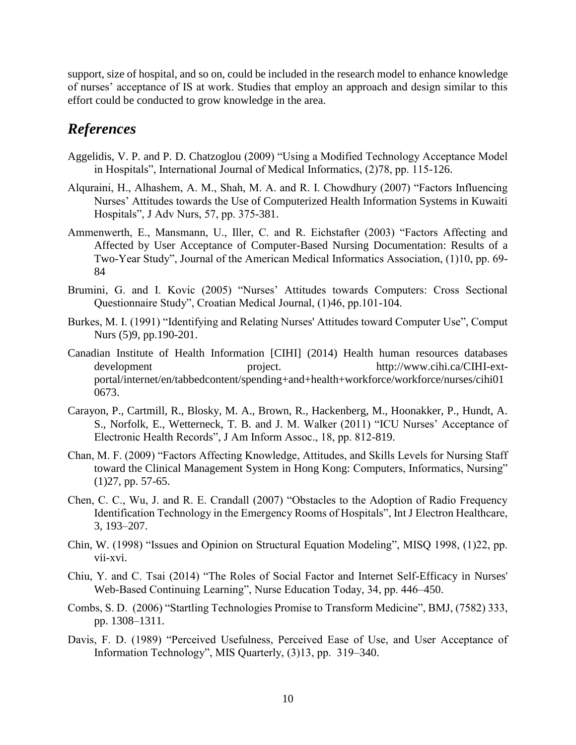support, size of hospital, and so on, could be included in the research model to enhance knowledge of nurses' acceptance of IS at work. Studies that employ an approach and design similar to this effort could be conducted to grow knowledge in the area.

# *References*

- Aggelidis, V. P. and P. D. Chatzoglou (2009) "Using a Modified Technology Acceptance Model in Hospitals", International Journal of Medical Informatics, (2)78, pp. 115-126.
- Alquraini, H., Alhashem, A. M., Shah, M. A. and R. I. Chowdhury (2007) "Factors Influencing Nurses' Attitudes towards the Use of Computerized Health Information Systems in Kuwaiti Hospitals", J Adv Nurs, 57, pp. 375-381.
- Ammenwerth, E., Mansmann, U., Iller, C. and R. Eichstafter (2003) "Factors Affecting and Affected by User Acceptance of Computer-Based Nursing Documentation: Results of a Two-Year Study", Journal of the American Medical Informatics Association, (1)10, pp. 69- 84
- Brumini, G. and I. Kovic (2005) "Nurses' Attitudes towards Computers: Cross Sectional Questionnaire Study", Croatian Medical Journal, (1)46, pp.101-104.
- Burkes, M. I. (1991) "Identifying and Relating Nurses' Attitudes toward Computer Use", Comput Nurs (5)9, pp.190-201.
- Canadian Institute of Health Information [CIHI] (2014) Health human resources databases development project. http://www.cihi.ca/CIHI-extportal/internet/en/tabbedcontent/spending+and+health+workforce/workforce/nurses/cihi01 0673.
- Carayon, P., Cartmill, R., Blosky, M. A., Brown, R., Hackenberg, M., Hoonakker, P., Hundt, A. S., Norfolk, E., Wetterneck, T. B. and J. M. Walker (2011) "ICU Nurses' Acceptance of Electronic Health Records", J Am Inform Assoc., 18, pp. 812-819.
- Chan, M. F. (2009) "Factors Affecting Knowledge, Attitudes, and Skills Levels for Nursing Staff toward the Clinical Management System in Hong Kong: Computers, Informatics, Nursing" (1)27, pp. 57-65.
- Chen, C. C., Wu, J. and R. E. Crandall (2007) "Obstacles to the Adoption of Radio Frequency Identification Technology in the Emergency Rooms of Hospitals", Int J Electron Healthcare, 3, 193–207.
- Chin, W. (1998) "Issues and Opinion on Structural Equation Modeling", MISQ 1998, (1)22, pp. vii-xvi.
- Chiu, Y. and C. Tsai (2014) "The Roles of Social Factor and Internet Self-Efficacy in Nurses' Web-Based Continuing Learning", Nurse Education Today, 34, pp. 446–450.
- Combs, S. D. (2006) "Startling Technologies Promise to Transform Medicine", BMJ, (7582) 333, pp. 1308–1311.
- Davis, F. D. (1989) "Perceived Usefulness, Perceived Ease of Use, and User Acceptance of Information Technology", MIS Quarterly, (3)13, pp. 319–340.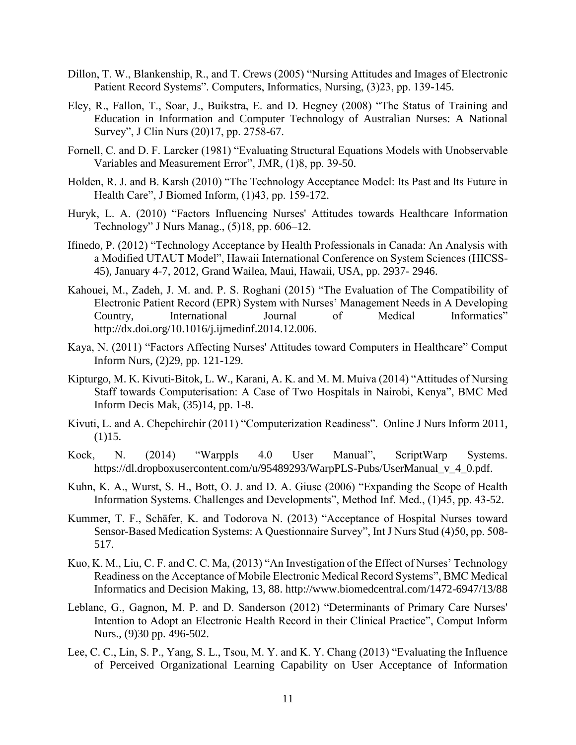- Dillon, T. W., Blankenship, R., and T. Crews (2005) "Nursing Attitudes and Images of Electronic Patient Record Systems". Computers, Informatics, Nursing, (3)23, pp. 139-145.
- Eley, R., Fallon, T., Soar, J., Buikstra, E. and D. Hegney (2008) "The Status of Training and Education in Information and Computer Technology of Australian Nurses: A National Survey", J Clin Nurs (20)17, pp. 2758-67.
- Fornell, C. and D. F. Larcker (1981) "Evaluating Structural Equations Models with Unobservable Variables and Measurement Error", JMR, (1)8, pp. 39-50.
- Holden, R. J. and B. Karsh (2010) "The Technology Acceptance Model: Its Past and Its Future in Health Care", J Biomed Inform, (1)43, pp. 159-172.
- Huryk, L. A. (2010) "Factors Influencing Nurses' Attitudes towards Healthcare Information Technology" J Nurs Manag., (5)18, pp. 606–12.
- Ifinedo, P. (2012) "Technology Acceptance by Health Professionals in Canada: An Analysis with a Modified UTAUT Model", Hawaii International Conference on System Sciences (HICSS-45), January 4-7, 2012, Grand Wailea, Maui, Hawaii, USA, pp. 2937- 2946.
- Kahouei, M., Zadeh, J. M. and. P. S. Roghani (2015) "The Evaluation of The Compatibility of Electronic Patient Record (EPR) System with Nurses' Management Needs in A Developing Country, International Journal of Medical Informatics" http://dx.doi.org/10.1016/j.ijmedinf.2014.12.006.
- Kaya, N. (2011) "Factors Affecting Nurses' Attitudes toward Computers in Healthcare" Comput Inform Nurs, (2)29, pp. 121-129.
- Kipturgo, M. K. Kivuti-Bitok, L. W., Karani, A. K. and M. M. Muiva (2014) "Attitudes of Nursing Staff towards Computerisation: A Case of Two Hospitals in Nairobi, Kenya", BMC Med Inform Decis Mak, (35)14, pp. 1-8.
- Kivuti, L. and A. Chepchirchir (2011) "Computerization Readiness". Online J Nurs Inform 2011, (1)15.
- Kock, N. (2014) "Warppls 4.0 User Manual", ScriptWarp Systems. https://dl.dropboxusercontent.com/u/95489293/WarpPLS-Pubs/UserManual\_v\_4\_0.pdf.
- Kuhn, K. A., Wurst, S. H., Bott, O. J. and D. A. Giuse (2006) "Expanding the Scope of Health Information Systems. Challenges and Developments", Method Inf. Med., (1)45, pp. 43-52.
- Kummer, T. F., Schäfer, K. and Todorova N. (2013) "Acceptance of Hospital Nurses toward Sensor-Based Medication Systems: A Questionnaire Survey", Int J Nurs Stud (4)50, pp. 508- 517.
- Kuo, K. M., Liu, C. F. and C. C. Ma, (2013) "An Investigation of the Effect of Nurses' Technology Readiness on the Acceptance of Mobile Electronic Medical Record Systems", BMC Medical Informatics and Decision Making, 13, 88. http://www.biomedcentral.com/1472-6947/13/88
- Leblanc, G., Gagnon, M. P. and D. Sanderson (2012) "Determinants of Primary Care Nurses' Intention to Adopt an Electronic Health Record in their Clinical Practice", Comput Inform Nurs., (9)30 pp. 496-502.
- Lee, C. C., Lin, S. P., Yang, S. L., Tsou, M. Y. and K. Y. Chang (2013) "Evaluating the Influence of Perceived Organizational Learning Capability on User Acceptance of Information